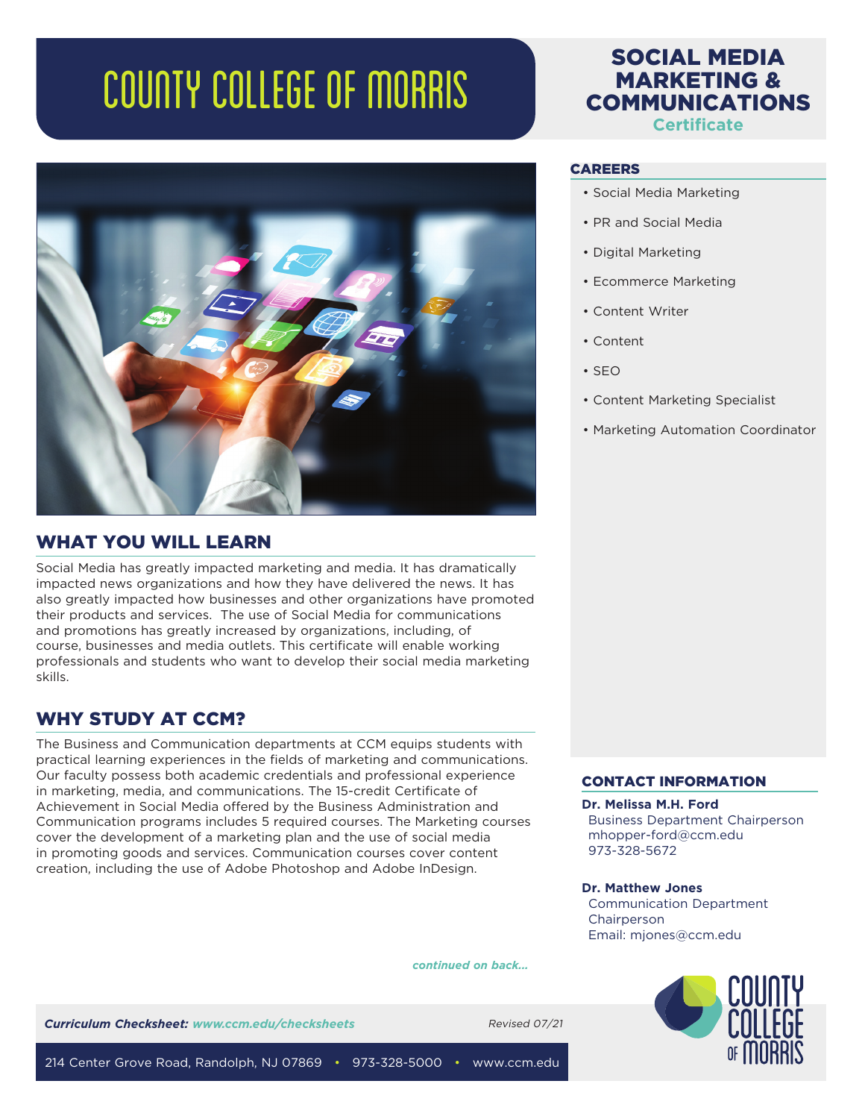# COUNTY COLLEGE OF MORRIS



## WHAT YOU WILL LEARN

Social Media has greatly impacted marketing and media. It has dramatically impacted news organizations and how they have delivered the news. It has also greatly impacted how businesses and other organizations have promoted their products and services. The use of Social Media for communications and promotions has greatly increased by organizations, including, of course, businesses and media outlets. This certificate will enable working professionals and students who want to develop their social media marketing skills.

# WHY STUDY AT CCM?

The Business and Communication departments at CCM equips students with practical learning experiences in the fields of marketing and communications. Our faculty possess both academic credentials and professional experience in marketing, media, and communications. The 15-credit Certificate of Achievement in Social Media offered by the Business Administration and Communication programs includes 5 required courses. The Marketing courses cover the development of a marketing plan and the use of social media in promoting goods and services. Communication courses cover content creation, including the use of Adobe Photoshop and Adobe InDesign.

# SOCIAL MEDIA MARKETING & COMMUNICATIONS **Certificate**

### CAREERS

- Social Media Marketing
- PR and Social Media
- Digital Marketing
- Ecommerce Marketing
- Content Writer
- Content
- SEO
- Content Marketing Specialist
- Marketing Automation Coordinator

## CONTACT INFORMATION

#### **Dr. Melissa M.H. Ford**

Business Department Chairperson mhopper-ford@ccm.edu 973-328-5672

#### **Dr. Matthew Jones**

Communication Department **Chairperson** Email: mjones@ccm.edu



**Curriculum Checksheet:** www.ccm.edu/checksheets Revised 07/21

*continued on back...*